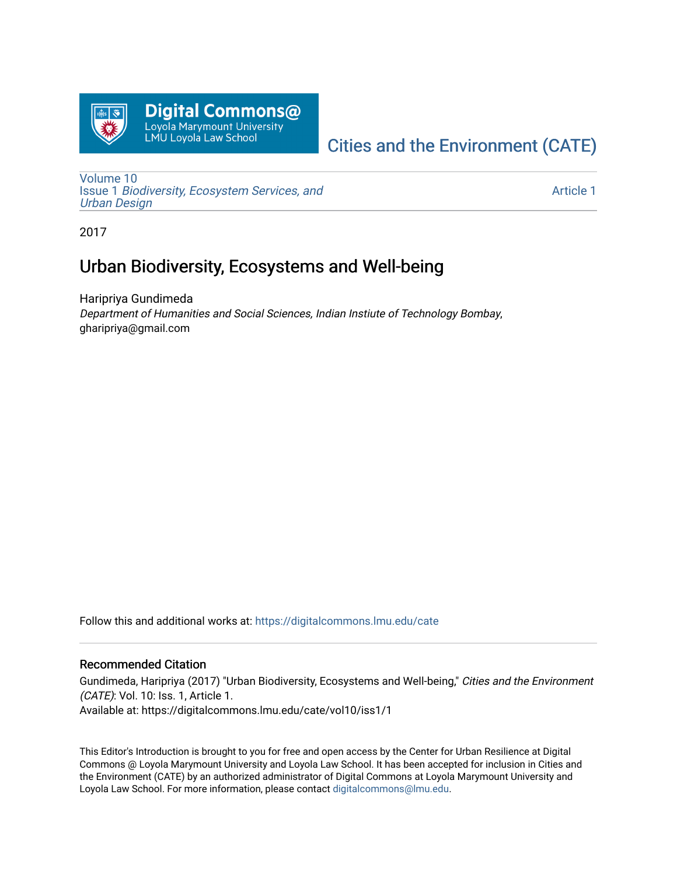

# [Cities and the Environment \(CATE\)](https://digitalcommons.lmu.edu/cate)

[Volume 10](https://digitalcommons.lmu.edu/cate/vol10) Issue 1 [Biodiversity, Ecosystem Services, and](https://digitalcommons.lmu.edu/cate/vol10/iss1)  [Urban Design](https://digitalcommons.lmu.edu/cate/vol10/iss1)

[Article 1](https://digitalcommons.lmu.edu/cate/vol10/iss1/1) 

2017

# Urban Biodiversity, Ecosystems and Well-being

Haripriya Gundimeda Department of Humanities and Social Sciences, Indian Instiute of Technology Bombay, gharipriya@gmail.com

Follow this and additional works at: [https://digitalcommons.lmu.edu/cate](https://digitalcommons.lmu.edu/cate?utm_source=digitalcommons.lmu.edu%2Fcate%2Fvol10%2Fiss1%2F1&utm_medium=PDF&utm_campaign=PDFCoverPages) 

## Recommended Citation

Gundimeda, Haripriya (2017) "Urban Biodiversity, Ecosystems and Well-being," Cities and the Environment (CATE): Vol. 10: Iss. 1, Article 1. Available at: https://digitalcommons.lmu.edu/cate/vol10/iss1/1

This Editor's Introduction is brought to you for free and open access by the Center for Urban Resilience at Digital Commons @ Loyola Marymount University and Loyola Law School. It has been accepted for inclusion in Cities and the Environment (CATE) by an authorized administrator of Digital Commons at Loyola Marymount University and Loyola Law School. For more information, please contact [digitalcommons@lmu.edu](mailto:digitalcommons@lmu.edu).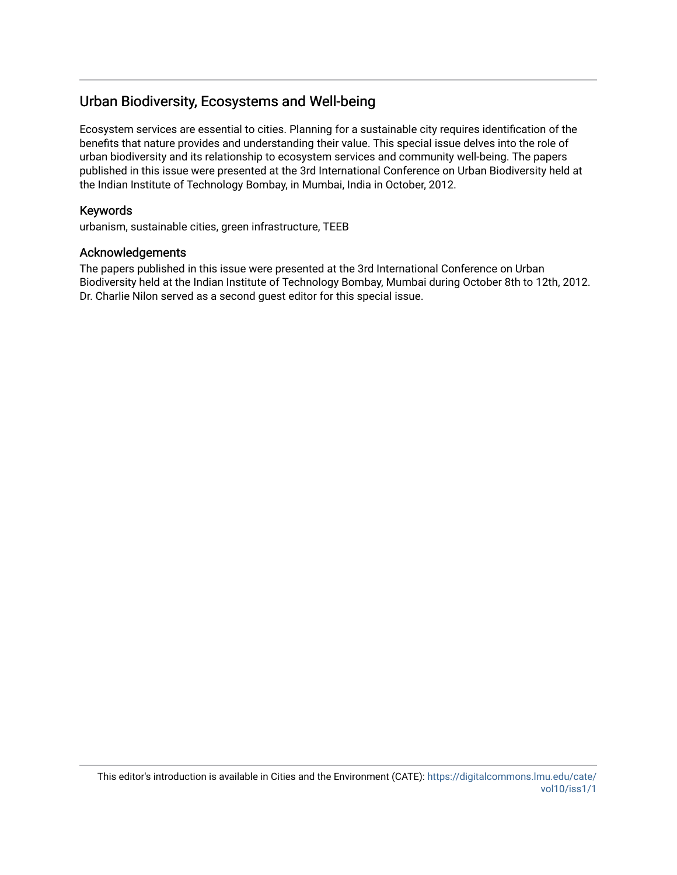# Urban Biodiversity, Ecosystems and Well-being

Ecosystem services are essential to cities. Planning for a sustainable city requires identification of the benefits that nature provides and understanding their value. This special issue delves into the role of urban biodiversity and its relationship to ecosystem services and community well-being. The papers published in this issue were presented at the 3rd International Conference on Urban Biodiversity held at the Indian Institute of Technology Bombay, in Mumbai, India in October, 2012.

# Keywords

urbanism, sustainable cities, green infrastructure, TEEB

#### Acknowledgements

The papers published in this issue were presented at the 3rd International Conference on Urban Biodiversity held at the Indian Institute of Technology Bombay, Mumbai during October 8th to 12th, 2012. Dr. Charlie Nilon served as a second guest editor for this special issue.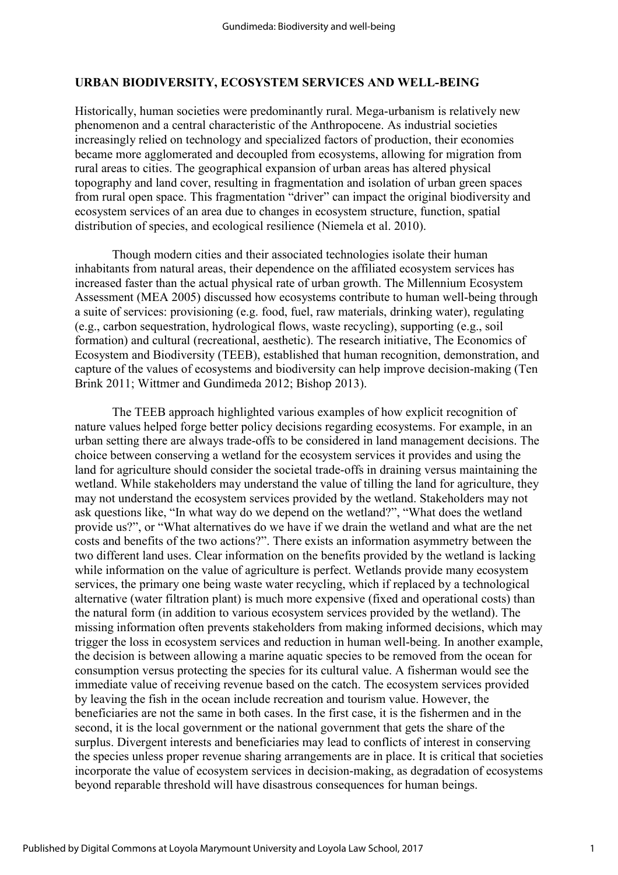## **URBAN BIODIVERSITY, ECOSYSTEM SERVICES AND WELL-BEING**

Historically, human societies were predominantly rural. Mega-urbanism is relatively new phenomenon and a central characteristic of the Anthropocene. As industrial societies increasingly relied on technology and specialized factors of production, their economies became more agglomerated and decoupled from ecosystems, allowing for migration from rural areas to cities. The geographical expansion of urban areas has altered physical topography and land cover, resulting in fragmentation and isolation of urban green spaces from rural open space. This fragmentation "driver" can impact the original biodiversity and ecosystem services of an area due to changes in ecosystem structure, function, spatial distribution of species, and ecological resilience (Niemela et al. 2010).

Though modern cities and their associated technologies isolate their human inhabitants from natural areas, their dependence on the affiliated ecosystem services has increased faster than the actual physical rate of urban growth. The Millennium Ecosystem Assessment (MEA 2005) discussed how ecosystems contribute to human well-being through a suite of services: provisioning (e.g. food, fuel, raw materials, drinking water), regulating (e.g., carbon sequestration, hydrological flows, waste recycling), supporting (e.g., soil formation) and cultural (recreational, aesthetic). The research initiative, The Economics of Ecosystem and Biodiversity (TEEB), established that human recognition, demonstration, and capture of the values of ecosystems and biodiversity can help improve decision-making (Ten Brink 2011; Wittmer and Gundimeda 2012; Bishop 2013).

The TEEB approach highlighted various examples of how explicit recognition of nature values helped forge better policy decisions regarding ecosystems. For example, in an urban setting there are always trade-offs to be considered in land management decisions. The choice between conserving a wetland for the ecosystem services it provides and using the land for agriculture should consider the societal trade-offs in draining versus maintaining the wetland. While stakeholders may understand the value of tilling the land for agriculture, they may not understand the ecosystem services provided by the wetland. Stakeholders may not ask questions like, "In what way do we depend on the wetland?", "What does the wetland provide us?", or "What alternatives do we have if we drain the wetland and what are the net costs and benefits of the two actions?". There exists an information asymmetry between the two different land uses. Clear information on the benefits provided by the wetland is lacking while information on the value of agriculture is perfect. Wetlands provide many ecosystem services, the primary one being waste water recycling, which if replaced by a technological alternative (water filtration plant) is much more expensive (fixed and operational costs) than the natural form (in addition to various ecosystem services provided by the wetland). The missing information often prevents stakeholders from making informed decisions, which may trigger the loss in ecosystem services and reduction in human well-being. In another example, the decision is between allowing a marine aquatic species to be removed from the ocean for consumption versus protecting the species for its cultural value. A fisherman would see the immediate value of receiving revenue based on the catch. The ecosystem services provided by leaving the fish in the ocean include recreation and tourism value. However, the beneficiaries are not the same in both cases. In the first case, it is the fishermen and in the second, it is the local government or the national government that gets the share of the surplus. Divergent interests and beneficiaries may lead to conflicts of interest in conserving the species unless proper revenue sharing arrangements are in place. It is critical that societies incorporate the value of ecosystem services in decision-making, as degradation of ecosystems beyond reparable threshold will have disastrous consequences for human beings.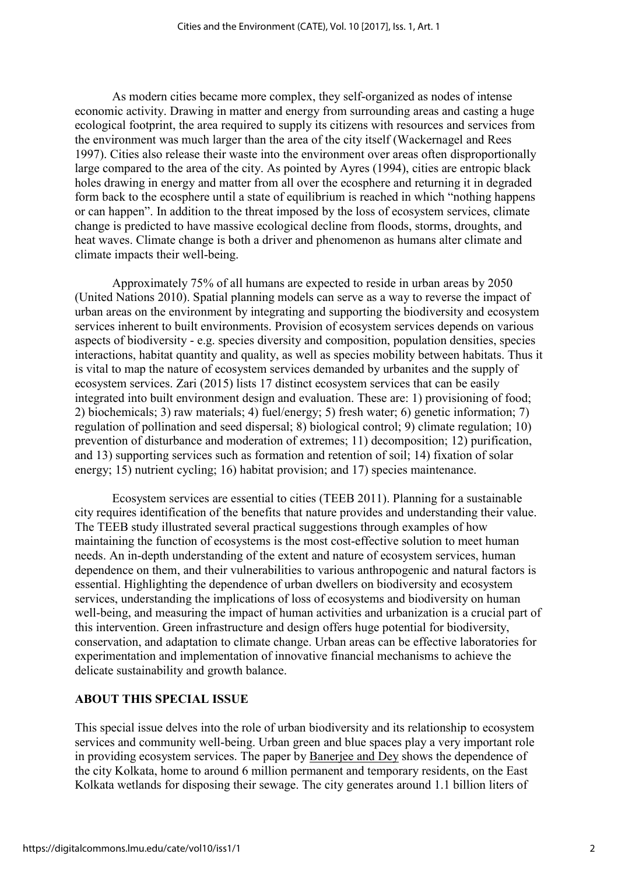As modern cities became more complex, they self-organized as nodes of intense economic activity. Drawing in matter and energy from surrounding areas and casting a huge ecological footprint, the area required to supply its citizens with resources and services from the environment was much larger than the area of the city itself (Wackernagel and Rees 1997). Cities also release their waste into the environment over areas often disproportionally large compared to the area of the city. As pointed by Ayres (1994), cities are entropic black holes drawing in energy and matter from all over the ecosphere and returning it in degraded form back to the ecosphere until a state of equilibrium is reached in which "nothing happens or can happen". In addition to the threat imposed by the loss of ecosystem services, climate change is predicted to have massive ecological decline from floods, storms, droughts, and heat waves. Climate change is both a driver and phenomenon as humans alter climate and climate impacts their well-being.

Approximately 75% of all humans are expected to reside in urban areas by 2050 (United Nations 2010). Spatial planning models can serve as a way to reverse the impact of urban areas on the environment by integrating and supporting the biodiversity and ecosystem services inherent to built environments. Provision of ecosystem services depends on various aspects of biodiversity - e.g. species diversity and composition, population densities, species interactions, habitat quantity and quality, as well as species mobility between habitats. Thus it is vital to map the nature of ecosystem services demanded by urbanites and the supply of ecosystem services. Zari (2015) lists 17 distinct ecosystem services that can be easily integrated into built environment design and evaluation. These are: 1) provisioning of food; 2) biochemicals; 3) raw materials; 4) fuel/energy; 5) fresh water; 6) genetic information; 7) regulation of pollination and seed dispersal; 8) biological control; 9) climate regulation; 10) prevention of disturbance and moderation of extremes; 11) decomposition; 12) purification, and 13) supporting services such as formation and retention of soil; 14) fixation of solar energy; 15) nutrient cycling; 16) habitat provision; and 17) species maintenance.

Ecosystem services are essential to cities (TEEB 2011). Planning for a sustainable city requires identification of the benefits that nature provides and understanding their value. The TEEB study illustrated several practical suggestions through examples of how maintaining the function of ecosystems is the most cost-effective solution to meet human needs. An in-depth understanding of the extent and nature of ecosystem services, human dependence on them, and their vulnerabilities to various anthropogenic and natural factors is essential. Highlighting the dependence of urban dwellers on biodiversity and ecosystem services, understanding the implications of loss of ecosystems and biodiversity on human well-being, and measuring the impact of human activities and urbanization is a crucial part of this intervention. Green infrastructure and design offers huge potential for biodiversity, conservation, and adaptation to climate change. Urban areas can be effective laboratories for experimentation and implementation of innovative financial mechanisms to achieve the delicate sustainability and growth balance.

# **ABOUT THIS SPECIAL ISSUE**

This special issue delves into the role of urban biodiversity and its relationship to ecosystem services and community well-being. Urban green and blue spaces play a very important role in providing ecosystem services. The paper by [Banerjee](http://digitalcommons.lmu.edu/cate/vol10/iss1/2/) and Dey shows the dependence of the city Kolkata, home to around 6 million permanent and temporary residents, on the East Kolkata wetlands for disposing their sewage. The city generates around 1.1 billion liters of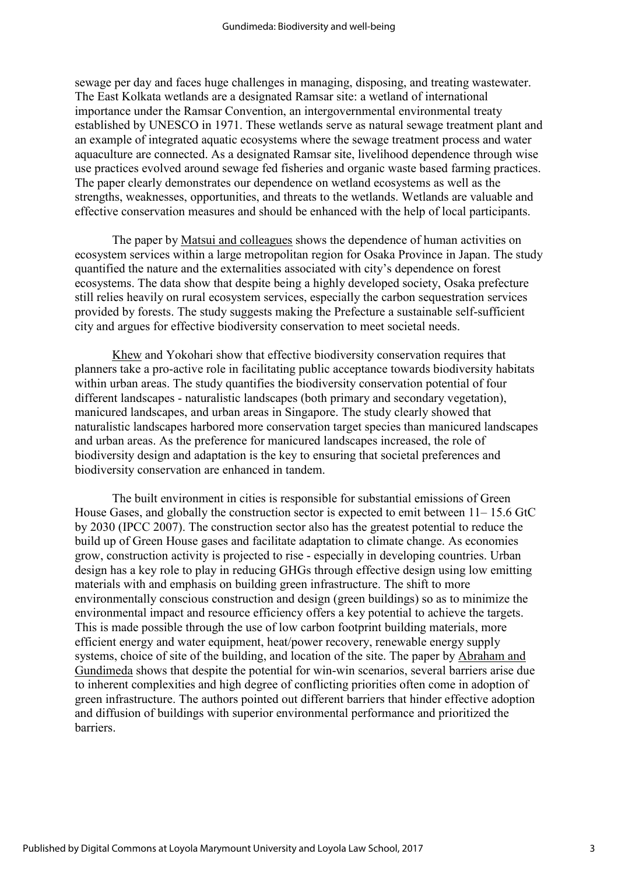sewage per day and faces huge challenges in managing, disposing, and treating wastewater. The East Kolkata wetlands are a designated Ramsar site: a wetland of international importance under the Ramsar Convention, an intergovernmental environmental treaty established by UNESCO in 1971. These wetlands serve as natural sewage treatment plant and an example of integrated aquatic ecosystems where the sewage treatment process and water aquaculture are connected. As a designated Ramsar site, livelihood dependence through wise use practices evolved around sewage fed fisheries and organic waste based farming practices. The paper clearly demonstrates our dependence on wetland ecosystems as well as the strengths, weaknesses, opportunities, and threats to the wetlands. Wetlands are valuable and effective conservation measures and should be enhanced with the help of local participants.

The paper by Matsui and [colleagues](http://digitalcommons.lmu.edu/cate/vol10/iss1/3/) shows the dependence of human activities on ecosystem services within a large metropolitan region for Osaka Province in Japan. The study quantified the nature and the externalities associated with city's dependence on forest ecosystems. The data show that despite being a highly developed society, Osaka prefecture still relies heavily on rural ecosystem services, especially the carbon sequestration services provided by forests. The study suggests making the Prefecture a sustainable self-sufficient city and argues for effective biodiversity conservation to meet societal needs.

[Khew](http://digitalcommons.lmu.edu/cate/vol10/iss1/4/) and Yokohari show that effective biodiversity conservation requires that planners take a pro-active role in facilitating public acceptance towards biodiversity habitats within urban areas. The study quantifies the biodiversity conservation potential of four different landscapes - naturalistic landscapes (both primary and secondary vegetation), manicured landscapes, and urban areas in Singapore. The study clearly showed that naturalistic landscapes harbored more conservation target species than manicured landscapes and urban areas. As the preference for manicured landscapes increased, the role of biodiversity design and adaptation is the key to ensuring that societal preferences and biodiversity conservation are enhanced in tandem.

The built environment in cities is responsible for substantial emissions of Green House Gases, and globally the construction sector is expected to emit between 11– 15.6 GtC by 2030 (IPCC 2007). The construction sector also has the greatest potential to reduce the build up of Green House gases and facilitate adaptation to climate change. As economies grow, construction activity is projected to rise - especially in developing countries. Urban design has a key role to play in reducing GHGs through effective design using low emitting materials with and emphasis on building green infrastructure. The shift to more environmentally conscious construction and design (green buildings) so as to minimize the environmental impact and resource efficiency offers a key potential to achieve the targets. This is made possible through the use of low carbon footprint building materials, more efficient energy and water equipment, heat/power recovery, renewable energy supply systems, choice of site of the building, and location of the site. The paper by [Abraham](http://digitalcommons.lmu.edu/cate/vol10/iss1/5/) and [Gundimeda](http://digitalcommons.lmu.edu/cate/vol10/iss1/5/) shows that despite the potential for win-win scenarios, several barriers arise due to inherent complexities and high degree of conflicting priorities often come in adoption of green infrastructure. The authors pointed out different barriers that hinder effective adoption and diffusion of buildings with superior environmental performance and prioritized the barriers.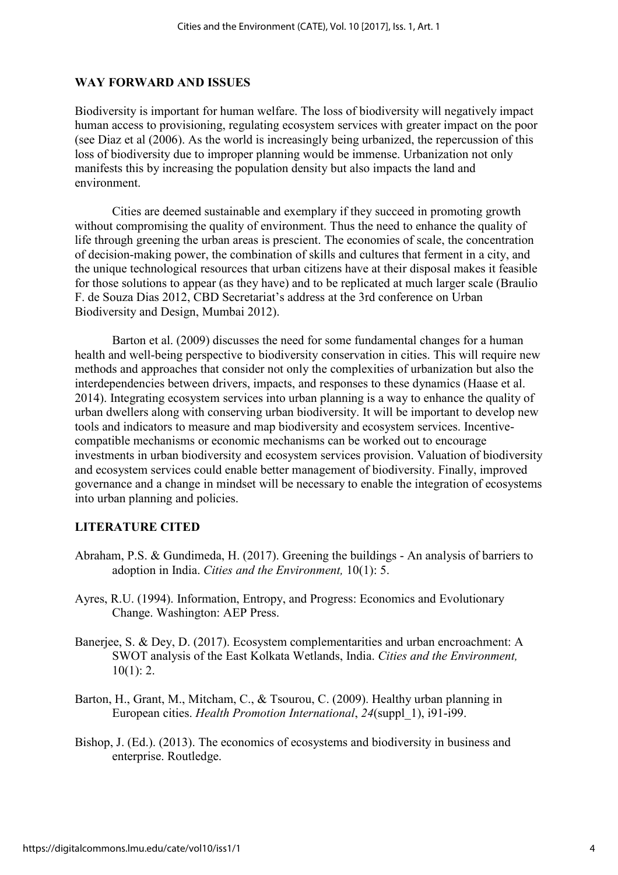## **WAY FORWARD AND ISSUES**

Biodiversity is important for human welfare. The loss of biodiversity will negatively impact human access to provisioning, regulating ecosystem services with greater impact on the poor (see Diaz et al (2006). As the world is increasingly being urbanized, the repercussion of this loss of biodiversity due to improper planning would be immense. Urbanization not only manifests this by increasing the population density but also impacts the land and environment.

Cities are deemed sustainable and exemplary if they succeed in promoting growth without compromising the quality of environment. Thus the need to enhance the quality of life through greening the urban areas is prescient. The economies of scale, the concentration of decision-making power, the combination of skills and cultures that ferment in a city, and the unique technological resources that urban citizens have at their disposal makes it feasible for those solutions to appear (as they have) and to be replicated at much larger scale (Braulio F. de Souza Dias 2012, CBD Secretariat's address at the 3rd conference on Urban Biodiversity and Design, Mumbai 2012).

Barton et al. (2009) discusses the need for some fundamental changes for a human health and well-being perspective to biodiversity conservation in cities. This will require new methods and approaches that consider not only the complexities of urbanization but also the interdependencies between drivers, impacts, and responses to these dynamics (Haase et al. 2014). Integrating ecosystem services into urban planning is a way to enhance the quality of urban dwellers along with conserving urban biodiversity. It will be important to develop new tools and indicators to measure and map biodiversity and ecosystem services. Incentivecompatible mechanisms or economic mechanisms can be worked out to encourage investments in urban biodiversity and ecosystem services provision. Valuation of biodiversity and ecosystem services could enable better management of biodiversity. Finally, improved governance and a change in mindset will be necessary to enable the integration of ecosystems into urban planning and policies.

# **LITERATURE CITED**

- Abraham, P.S. & Gundimeda, H. (2017). Greening the buildings An analysis of barriers to adoption in India. *Cities and the Environment,* 10(1): 5.
- Ayres, R.U. (1994). Information, Entropy, and Progress: Economics and Evolutionary Change. Washington: AEP Press.
- Banerjee, S. & Dey, D. (2017). Ecosystem complementarities and urban encroachment: A SWOT analysis of the East Kolkata Wetlands, India. *Cities and the Environment,*  $10(1): 2.$
- Barton, H., Grant, M., Mitcham, C., & Tsourou, C. (2009). Healthy urban planning in European cities. *Health Promotion International*, *24*(suppl\_1), i91-i99.
- Bishop, J. (Ed.). (2013). The economics of ecosystems and biodiversity in business and enterprise. Routledge.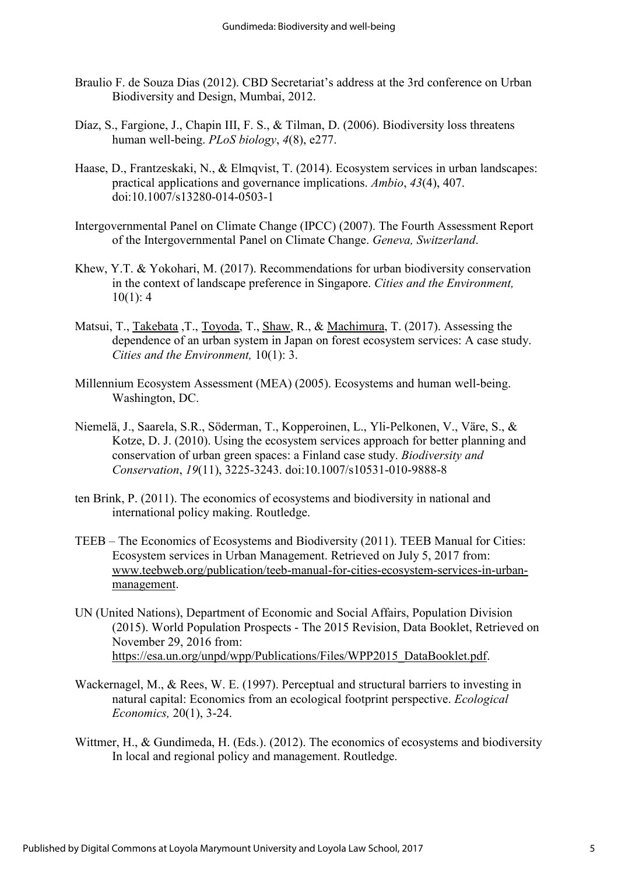- Braulio F. de Souza Dias (2012). CBD Secretariat's address at the 3rd conference on Urban Biodiversity and Design, Mumbai, 2012.
- Díaz, S., Fargione, J., Chapin III, F. S., & Tilman, D. (2006). Biodiversity loss threatens human well-being. *PLoS biology*, *4*(8), e277.
- Haase, D., Frantzeskaki, N., & Elmqvist, T. (2014). Ecosystem services in urban landscapes: practical applications and governance implications. *Ambio*, *43*(4), 407. doi:10.1007/s13280-014-0503-1
- Intergovernmental Panel on Climate Change (IPCC) (2007). The Fourth Assessment Report of the Intergovernmental Panel on Climate Change. *Geneva, Switzerland*.
- Khew, Y.T. & Yokohari, M. (2017). Recommendations for urban biodiversity conservation in the context of landscape preference in Singapore. *Cities and the Environment,*  $10(1): 4$
- Matsui, T., [Takebata](javascript:popUp() ,T., [Toyoda,](javascript:popUp() T., [Shaw,](javascript:popUp() R., & [Machimura,](javascript:popUp() T. (2017). Assessing the dependence of an urban system in Japan on forest ecosystem services: A case study. *Cities and the Environment,* 10(1): 3.
- Millennium Ecosystem Assessment (MEA) (2005). Ecosystems and human well-being. Washington, DC.
- Niemelä, J., Saarela, S.R., Söderman, T., Kopperoinen, L., Yli-Pelkonen, V., Väre, S., & Kotze, D. J. (2010). Using the ecosystem services approach for better planning and conservation of urban green spaces: a Finland case study. *Biodiversity and Conservation*, *19*(11), 3225-3243. doi:10.1007/s10531-010-9888-8
- ten Brink, P. (2011). The economics of ecosystems and biodiversity in national and international policy making. Routledge.
- TEEB The Economics of Ecosystems and Biodiversity (2011). TEEB Manual for Cities: Ecosystem services in Urban Management. Retrieved on July 5, 2017 from: [www.teebweb.org/publication/teeb-manual-for-cities-ecosystem-services-in-urban](http://www.teebweb.org/publication/teeb-manual-for-cities-ecosystem-services-in-urban-management)[management.](http://www.teebweb.org/publication/teeb-manual-for-cities-ecosystem-services-in-urban-management)
- UN (United Nations), Department of Economic and Social Affairs, Population Division (2015). World Population Prospects - The 2015 Revision, Data Booklet, Retrieved on November 29, 2016 from: [https://esa.un.org/unpd/wpp/Publications/Files/WPP2015\\_DataBooklet.pdf.](https://esa.un.org/unpd/wpp/Publications/Files/WPP2015_DataBooklet.pdf)
- Wackernagel, M., & Rees, W. E. (1997). Perceptual and structural barriers to investing in natural capital: Economics from an ecological footprint perspective. *Ecological Economics,* 20(1), 3-24.
- Wittmer, H., & Gundimeda, H. (Eds.). (2012). The economics of ecosystems and biodiversity In local and regional policy and management. Routledge.